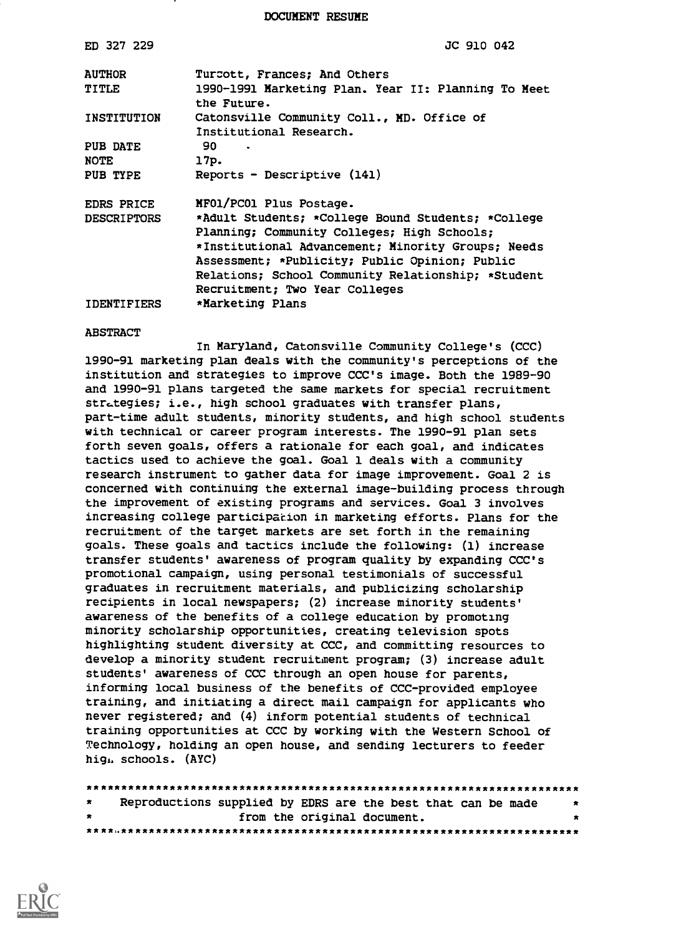DOCUMENT RESUME

| ED 327 229         | JC 910 042                                                            |
|--------------------|-----------------------------------------------------------------------|
| <b>AUTHOR</b>      | Turcott, Frances; And Others                                          |
| TITLE              | 1990-1991 Marketing Plan. Year II: Planning To Meet<br>the Future.    |
| INSTITUTION        | Catonsville Community Coll., MD. Office of<br>Institutional Research. |
| PUB DATE           | 90.                                                                   |
| <b>NOTE</b>        | 17p.                                                                  |
| PUB TYPE           | Reports - Descriptive (141)                                           |
| EDRS PRICE         | MF01/PC01 Plus Postage.                                               |
| <b>DESCRIPTORS</b> | *Adult Students; *College Bound Students; *College                    |
|                    | Planning; Community Colleges; High Schools;                           |
|                    | *Institutional Advancement; Minority Groups; Needs                    |
|                    | Assessment; *Publicity; Public Opinion; Public                        |
|                    | Relations; School Community Relationship; *Student                    |
|                    | Recruitment; Two Year Colleges                                        |
| <b>IDENTIFIERS</b> | *Marketing Plans                                                      |
|                    |                                                                       |

#### **ABSTRACT**

In Maryland, Catonsville Community College's (CCC) 1990-91 marketing plan deals with the community's perceptions of the institution and strategies to improve CCC's image. Both the 1989-90 and 1990-91 plans targeted the same markets for special recruitment strategies; i.e., high school graduates with transfer plans, part-time adult students, minority students, and high school students with technical or career program interests. The 1990-91 plan sets forth seven goals, offers a rationale for each goal, and indicates tactics used to achieve the goal. Goal 1 deals with a community research instrument to gather data for image improvement. Goal 2 is concerned with continuing the external image-building process through the improvement of existing programs and services. Goal 3 involves increasing college participation in marketing efforts. Plans for the recruitment of the target markets are set forth in the remaining goals. These goals and tactics include the following: (1) increase transfer students' awareness of program quality by expanding CCC's promotional campaign, using personal testimonials of successful graduates in recruitment materials, and publicizing scholarship recipients in local newspapers; (2) increase minority students' awareness of the benefits of a college education by promoting minority scholarship opportunities, creating television spots highlighting student diversity at CCC, and committing resources to develop a minority student recruitment program; (3) increase adult students' awareness of CCC through an open house for parents, informing local business of the benefits of CCC-provided employee training, and initiating a direct mail campaign for applicants who never registered; and (4) inform potential students of technical training opportunities at CCC by working with the Western School of Technology, holding an open house, and sending lecturers to feeder high, schools. (AYC)

| $\star$ | Reproductions supplied by EDRS are the best that can be made | $\ddot{\bm{x}}$ |
|---------|--------------------------------------------------------------|-----------------|
| $\star$ | from the original document.                                  |                 |
|         |                                                              |                 |

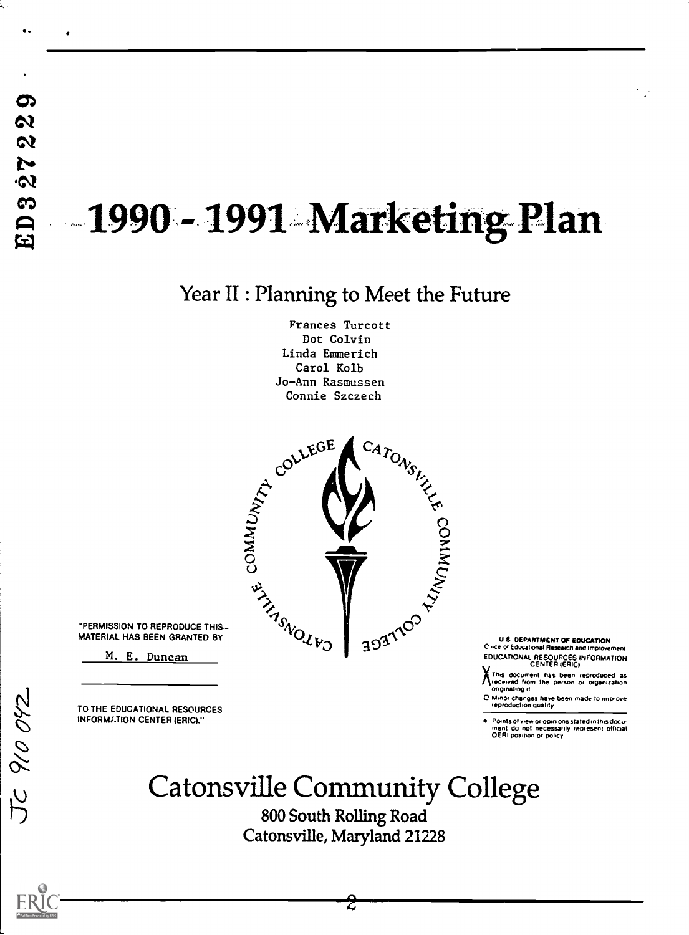G.

Ļ.,

# 1990 - 1991 Marketing Plan

### Year II : Planning to Meet the Future

Frances Turcott Dot Colvin Linda Emmerich Carol Kolb Jo-Ann Rasmussen



MATERIAL HAS BEEN GRANTED BY

M. E. Duncan

TO THE EDUCATIONAL RESOURCES INFORMI.TION CENTER (ERIC)."

U S. DEPARTMENT OF EDUCATION<br>C i-ce of Educational Research and Improvement EDUCATIONAL RESOURCES INFORMATION

This document has been reproduced as received from the person or organization.<br>originating.it

C Minor changes have been made to improve<br>- reproduction quality

Points of view or opinions stated in this docu-<br>ment ido inot inecessarily represent official<br>OERI position or policy

## Catonsville Community College

800 South Rolling Road Catonsville, Maryland 21228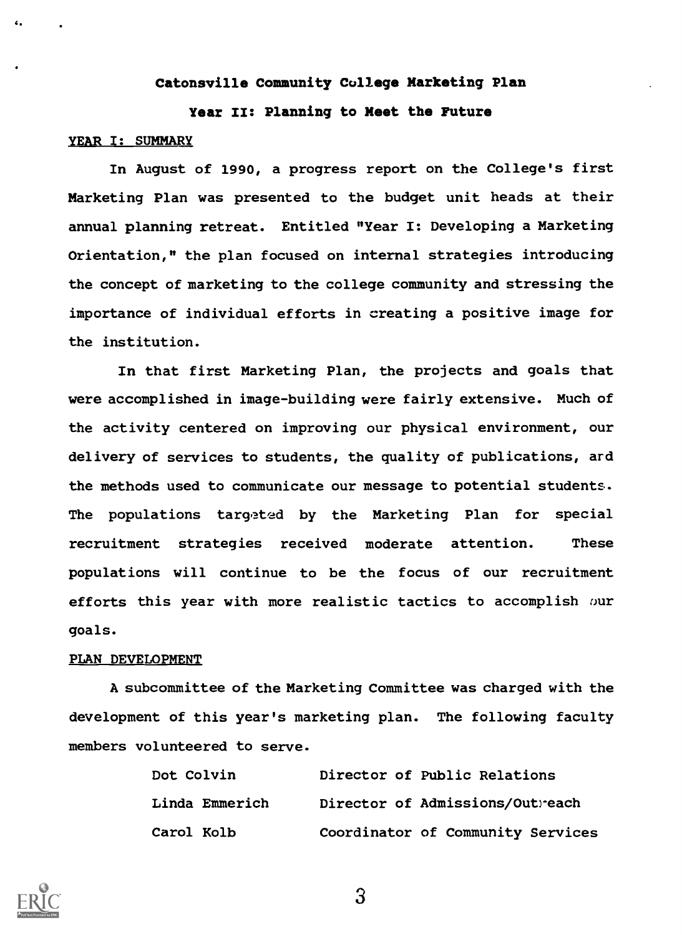#### Catonsville Community College Marketing Plan

#### Year II: Planning to Meet the Future

#### YEAR I: SUMMARY

 $\epsilon$ .

In August of 1990, a progress report on the College's first Marketing Plan was presented to the budget unit heads at their annual planning retreat. Entitled "Year I: Developing a Marketing Orientation," the plan focused on internal strategies introducing the concept of marketing to the college community and stressing the importance of individual efforts in creating a positive image for the institution.

In that first Marketing Plan, the projects and goals that were accomplished in image-building were fairly extensive. Much of the activity centered on improving our physical environment, our delivery of services to students, the quality of publications, ard the methods used to communicate our message to potential students. The populations targeted by the Marketing Plan for special recruitment strategies received moderate attention. These populations will continue to be the focus of our recruitment efforts this year with more realistic tactics to accomplish our goals.

#### PLAN DEVELOPMENT

A subcommittee of the Marketing Committee was charged with the development of this year's marketing plan. The following faculty members volunteered to serve.

| Dot Colvin     | Director of Public Relations      |  |
|----------------|-----------------------------------|--|
| Linda Emmerich | Director of Admissions/Outreach   |  |
| Carol Kolb     | Coordinator of Community Services |  |

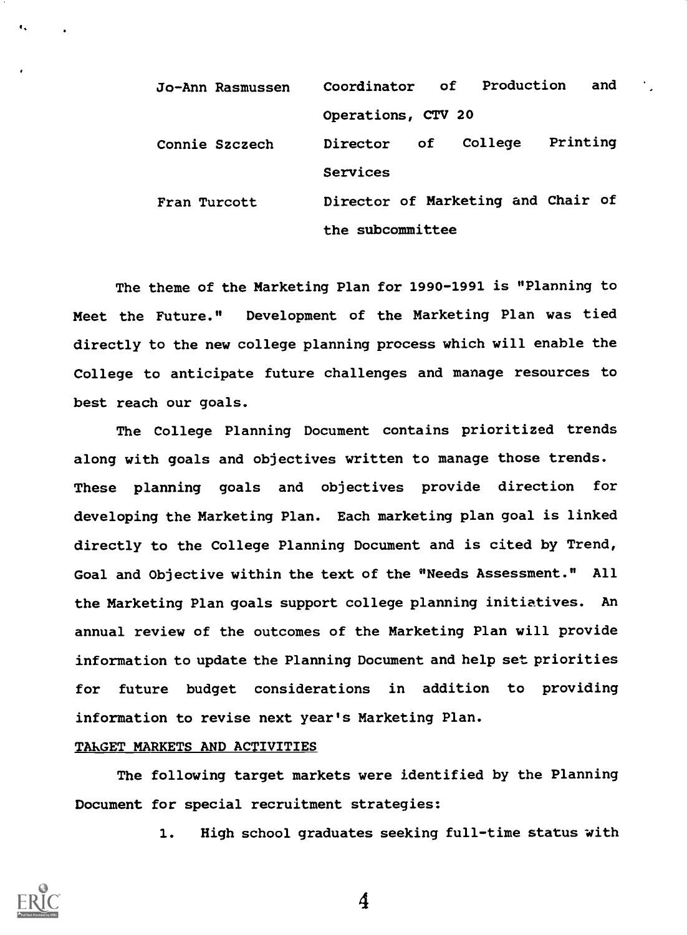| Jo-Ann Rasmussen | Coordinator of Production and      |
|------------------|------------------------------------|
|                  | Operations, CTV 20                 |
| Connie Szczech   | Printing<br>College<br>Director of |
|                  | Services                           |
| Fran Turcott     | Director of Marketing and Chair of |
|                  | the subcommittee                   |

The theme of the Marketing Plan for 1990-1991 is "Planning to Meet the Future." Development of the Marketing Plan was tied directly to the new college planning process which will enable the College to anticipate future challenges and manage resources to best reach our goals.

The College Planning Document contains prioritized trends along with goals and objectives written to manage those trends. These planning goals and objectives provide direction for developing the Marketing Plan. Each marketing plan goal is linked directly to the College Planning Document and is cited by Trend, Goal and Objective within the text of the "Needs Assessment." All the Marketing Plan goals support college planning initiatives. An annual review of the outcomes of the Marketing Plan will provide information to update the Planning Document and help set priorities for future budget considerations in addition to providing information to revise next year's Marketing Plan.

#### TARGET MARKETS AND ACTIVITIES

The following target markets were identified by the Planning Document for special recruitment strategies:

1. High school graduates seeking full-time status with

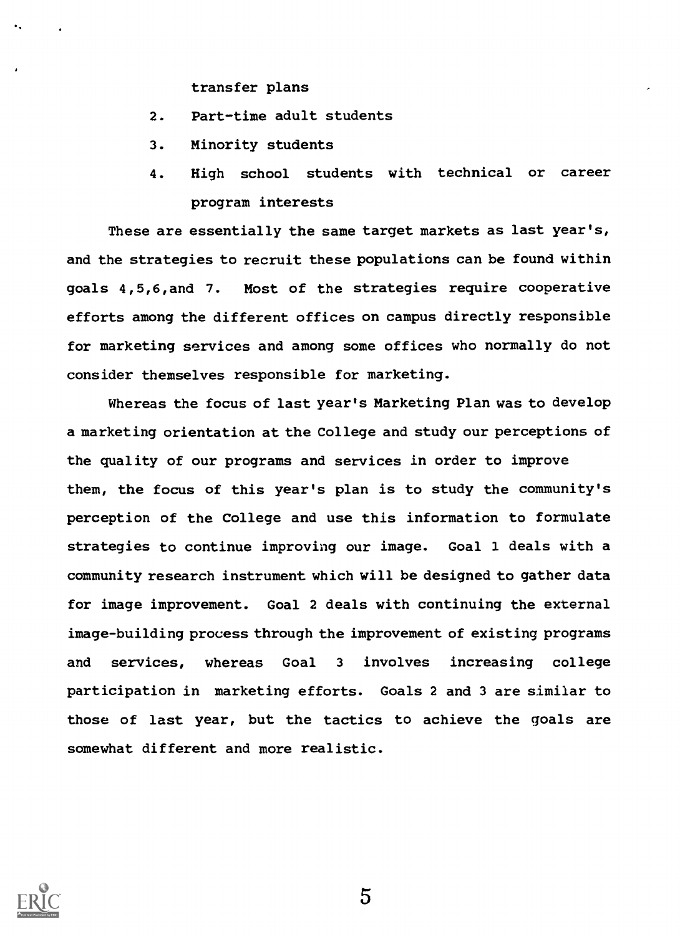transfer plans

- 2. Part-time adult students
- 3. Minority students
- 4. High school students with technical or career program interests

These are essentially the same target markets as last year's, and the strategies to recruit these populations can be found within goals 4,5,6,and 7. Most of the strategies require cooperative efforts among the different offices on campus directly responsible for marketing services and among some offices who normally do not consider themselves responsible for marketing.

Whereas the focus of last year's Marketing Plan was to develop a marketing orientation at the College and study our perceptions of the quality of our programs and services in order to improve them, the focus of this year's plan is to study the community's perception of the College and use this information to formulate strategies to continue improving our image. Goal 1 deals with a community research instrument which will be designed to gather data for image improvement. Goal 2 deals with continuing the external image-building process through the improvement of existing programs and services, whereas Goal 3 involves increasing college participation in marketing efforts. Goals 2 and 3 are similar to those of last year, but the tactics to achieve the goals are somewhat different and more realistic.

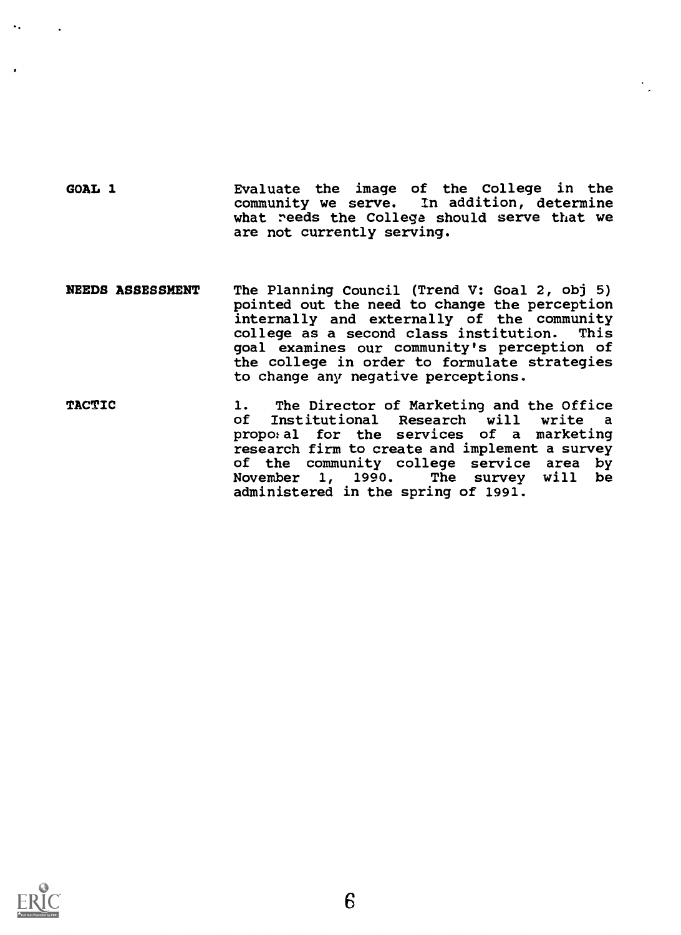GOAL 1 Evaluate the image of the College in the community we serve. In addition, determine what reeds the College should serve that we are not currently serving.

- NEEDS ASSESSMENT The Planning Council (Trend V: Goal 2, obj 5) pointed out the need to change the perception internally and externally of the community college as a second class institution. This goal examines our community's perception of the college in order to formulate strategies to change any negative perceptions.
- TACTIC 1. The Director of Marketing and the Office<br>of Institutional Research will write a Institutional Research will write a propotal for the services of a marketing research firm to create and implement a survey of the community college service area by<br>November 1, 1990. The survey will be The survey will be administered in the spring of 1991.

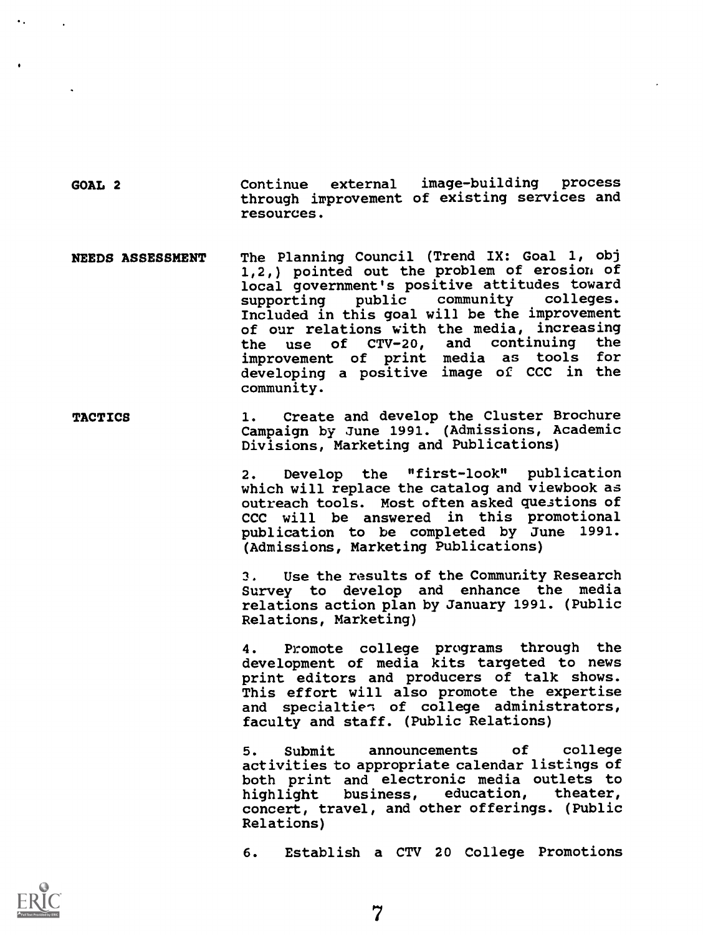GOAL 2 Continue external image-building process through irprovement of existing services and resources.

- NEEDS ASSESSMENT The Planning Council (Trend IX: Goal 1, obj 1,2,) pointed out the problem of erosion of local government's positive attitudes toward<br>supporting public community colleges. supporting public community Included in this goal will be the improvement of our relations with the media, increasing<br>the use of CTV-20, and continuing the the use of CTV-20, and continuing the<br>improvement of print media as tools for improvement of print media as tools developing a positive image of CCC in the community.
- TACTICS 1. Create and develop the Cluster Brochure Campaign by June 1991. (Admissions, Academic Divisions, Marketing and Publications)

2. Develop the "first-look" publication which will replace the catalog and viewbook as outreach tools. Most often asked questions of CCC will be answered in this promotional publication to be completed by June 1991. (Admissions, Marketing Publications)

3. Use the results of the Community Research Survey to develop and enhance the media relations action plan by January 1991. (Public Relations, Marketing)

4. Promote college programs through the development of media kits targeted to news print editors and producers of talk shows. This effort will also promote the expertise and specialties of college administrators, faculty and staff. (Public Relations)

5. Submit announcements of college activities to appropriate calendar listings of both print and electronic media outlets to highlight business, concert, travel, and other offerings. (Public Relations)

6. Establish a CTV 20 College Promotions

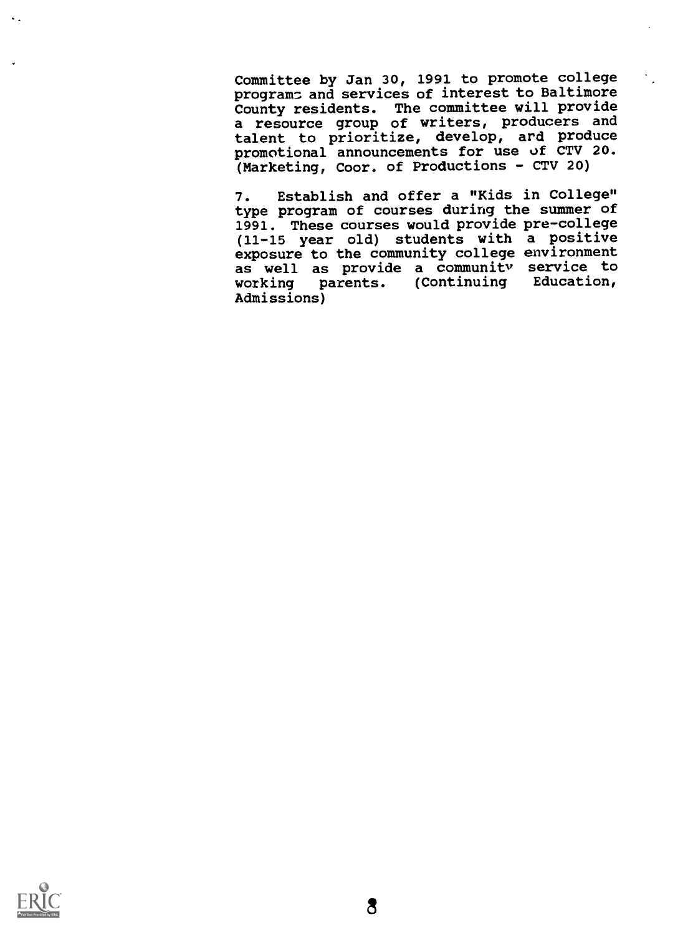Committee by Jan 30, 1991 to promote college programs and services of interest to Baltimore County residents. The committee will provide a resource group of writers, producers and talent to prioritize, develop, ard produce promotional announcements for use of CTV 20. (Marketing, Coor. of Productions - CTV 20)

7. Establish and offer a "Kids in College" type program of courses during the summer of 1991. These courses would provide pre-college (11-15 year old) students with a positive exposure to the community college environment as well as provide a community service to working parents. (Continuing Education, Admissions)

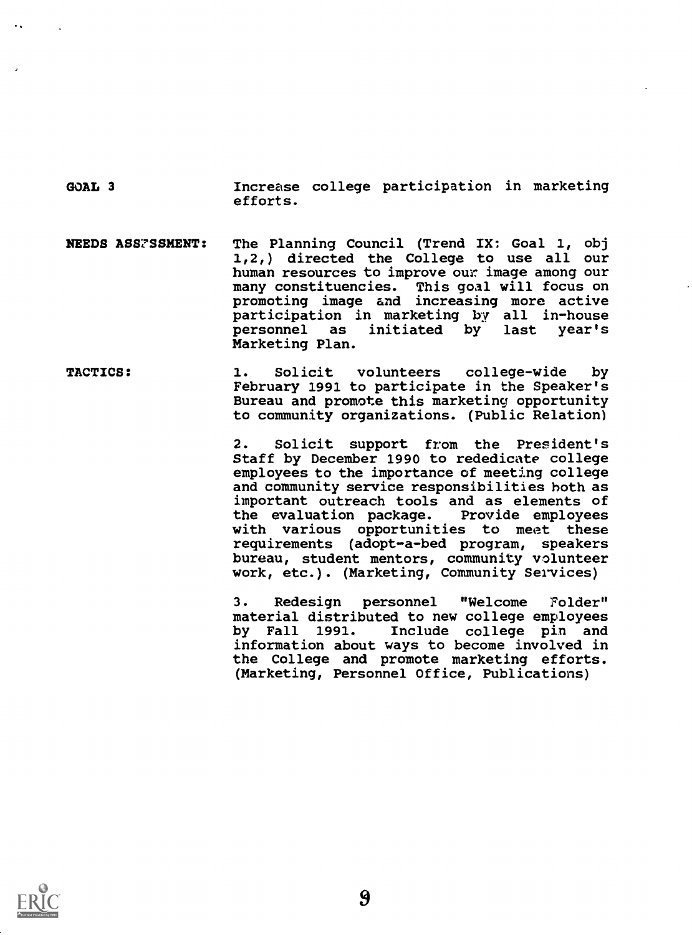GOAL 3 Increase college participation in marketing efforts.

- NEEDS ASS7SSNENT: The Planning Council (Trend IX: Goal 1, obj 1,2,) directed the College to use all our human resources to improve our image among our many constituencies. This goal will focus on promoting image and increasing more active participation in marketing by all in-house initiated by last year's Marketing Plan.
- TACTICS: 1. Solicit volunteers college-wide by February 1991 to participate in the Speaker's Bureau and promote this marketing opportunity to community organizations. (Public Relation)

2. Solicit support from the President's Staff by December 1990 to rededicate college employees to the importance of meeting college and community service responsibilities both as important outreach tools and as elements of<br>the evaluation package. Provide employees the evaluation package. with various opportunities to meet these requirements (adopt-a-bed program, speakers bureau, student mentors, community volunteer work, etc.). (Marketing, Community Services)

3. Redesign personnel "Welcome Folder" material distributed to new college employees<br>by Fall 1991. Include college pin and by Fall 1991. Include college pin and information about ways to become involved in the College and promote marketing efforts. (Marketing, Personnel Office, Publications)

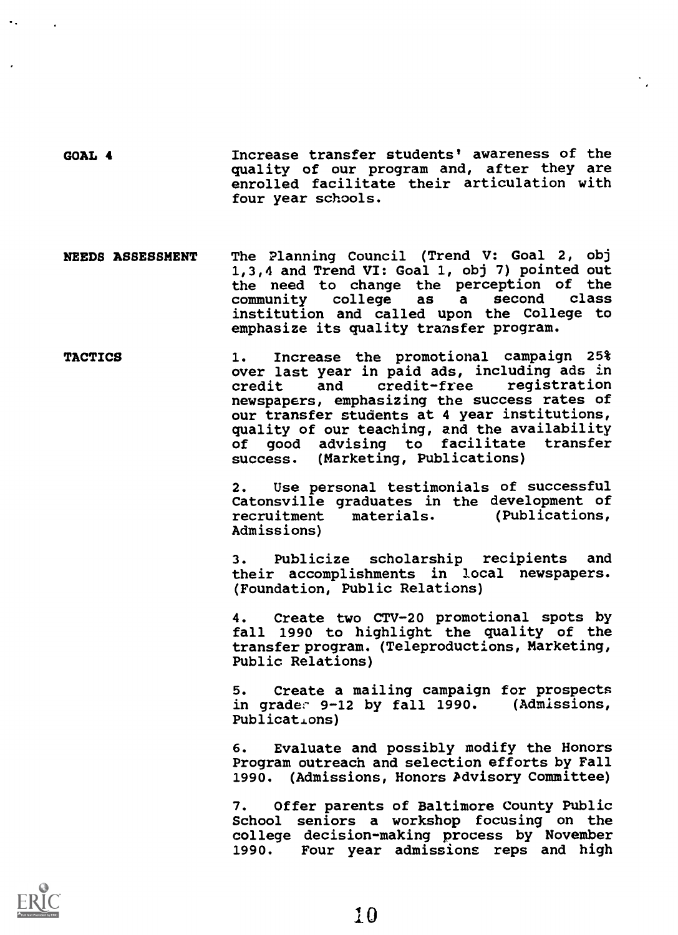GOAL 4 Increase transfer students' awareness of the quality of our program and, after they are enrolled facilitate their articulation with four year schools.

NEEDS ASSESSMENT The Planning Council (Trend V: Goal 2, obj 1,3,4 and Trend VI: Goal 1, obj 7) pointed out the need to change the perception of the<br>community college as a second class college institution and called upon the College to emphasize its quality transfer program.

TACTICS 1. Increase the promotional campaign 25% over last year in paid ads, including ads in credit and credit-free newspapers, emphasizing the success rates of our transfer students at 4 year institutions, quality of our teaching, and the availability of good advising to facilitate transfer<br>success. (Marketing, Publications) (Marketing, Publications)

> 2. Use personal testimonials of successful Catonsville graduates in the development of<br>recruitment materials. (Publications, (Publications, Admissions)

> 3. Publicize scholarship recipients and their accomplishments in local newspapers. (Foundation, Public Relations)

> 4. Create two CTV-20 promotional spots by fall 1990 to highlight the quality of the transfer program. (Teleproductions, Marketing, Public Relations)

> 5. Create a mailing campaign for prospects in grader 9-12 by fall 1990. (Admissions, Publications)

> 6. Evaluate and possibly modify the Honors Program outreach and selection efforts by Fall 1990. (Admissions, Honors Advisory Committee)

> 7. Offer parents of Baltimore County Public School seniors a workshop focusing on the college decision-making process by November 1990. Four year admissions reps and high

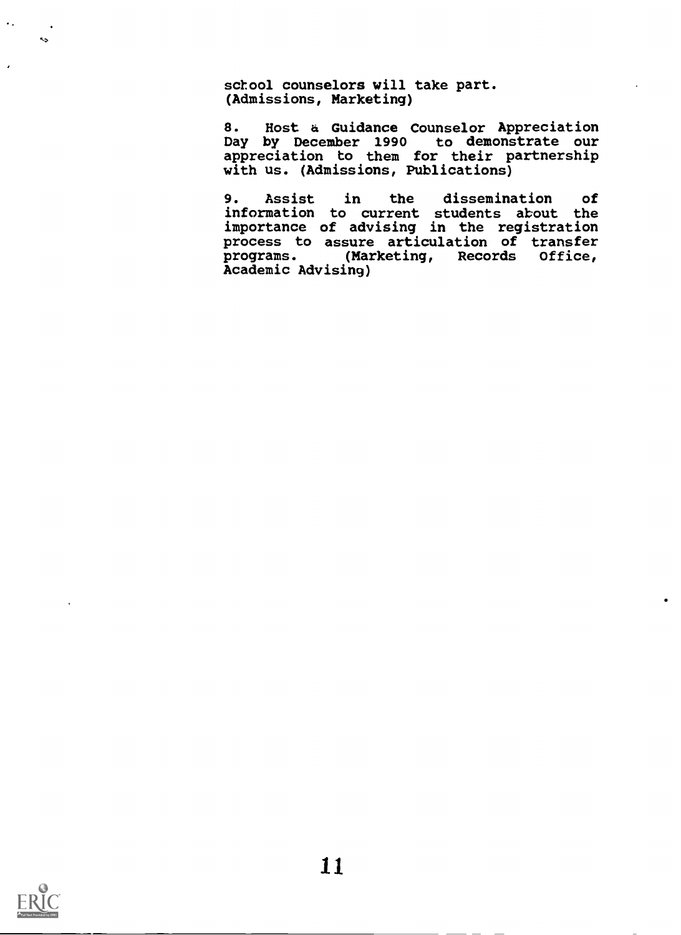school counselors will take part. (Admissions, Marketing)

8. Host & Guidance Counselor Appreciation Day by December 1990 to demonstrate our appreciation to them for their partnership with us. (Admissions, Publications)

9. Assist in the dissemination of information to current students about the importance of advising in the registration process to assure articulation of transfer programs. (Marketing, Records Office, Academic Advising)



 $\sim$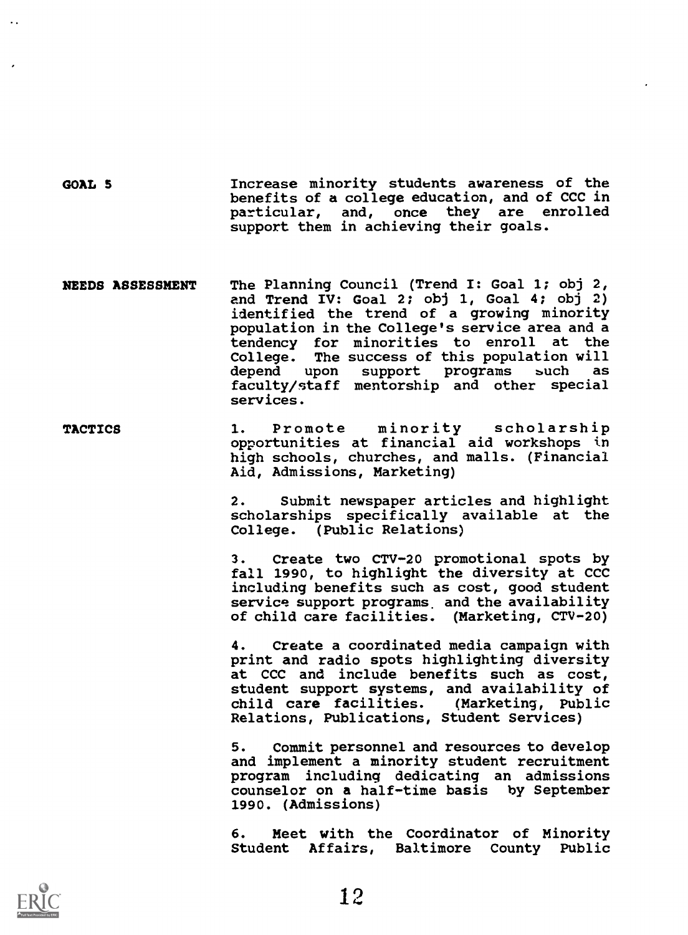GOAL 5 Increase minority students awareness of the benefits of a college education, and of CCC in particular, and, once they are enrolled support them in achieving their goals.

- NEEDS ASSESSMENT The Planning Council (Trend I: Goal 1; obj 2, and Trend IV: Goal 2; obj 1, Goal 4; obj 2) identified the trend of a growing minority population in the College's service area and a tendency for minorities to enroll at the College. The success of this population will depend upon support programs such as faculty/staff mentorship and other special services.
- TACTICS 1. Promote minority scholarship opportunities at financial aid workshops in high schools, churches, and malls. (Financial Aid, Admissions, Marketing)

2. Submit newspaper articles and highlight scholarships specifically available at the College. (Public Relations)

3. Create two CTV-20 promotional spots by fall 1990, to highlight the diversity at CCC including benefits such as cost, good student service support programs, and the availability of child care facilities. (Marketing, CTV-20)

4. Create a coordinated media campaign with print and radio spots highlighting diversity at CCC and include benefits such as cost, student support systems, and availability of<br>child care facilities. (Marketing, Public child care facilities. Relations, Publications, Student Services)

5. Commit personnel and resources to develop and implement a minority student recruitment program including dedicating an admissions counselor on a half-time basis by September 1990. (Admissions)

6. Meet with the Coordinator of Minority Student Affairs, Baltimore County Public

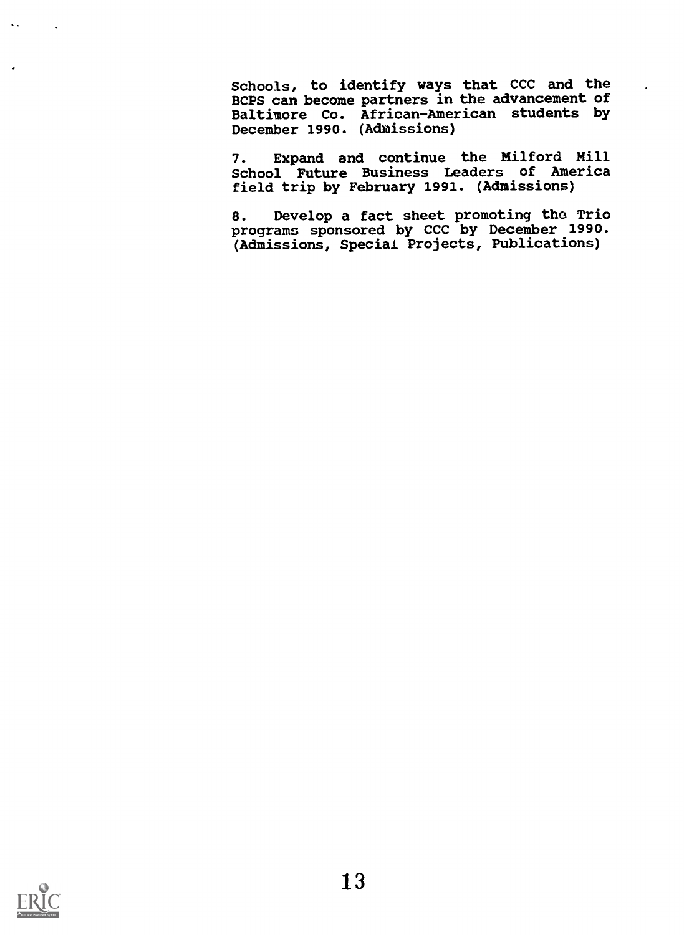Schools, to identify ways that CCC and the BCPS can become partners in the advancement of Baltimore Co. African-American students by December 1990. (Admissions)

7. Expand and continue the Milford Mill School Future Business Leaders of America field trip by February 1991. (Admissions)

8. Develop a fact sheet promoting the Trio programs sponsored by CCC by December 1990. (Admissions, Special Projects, Publications)

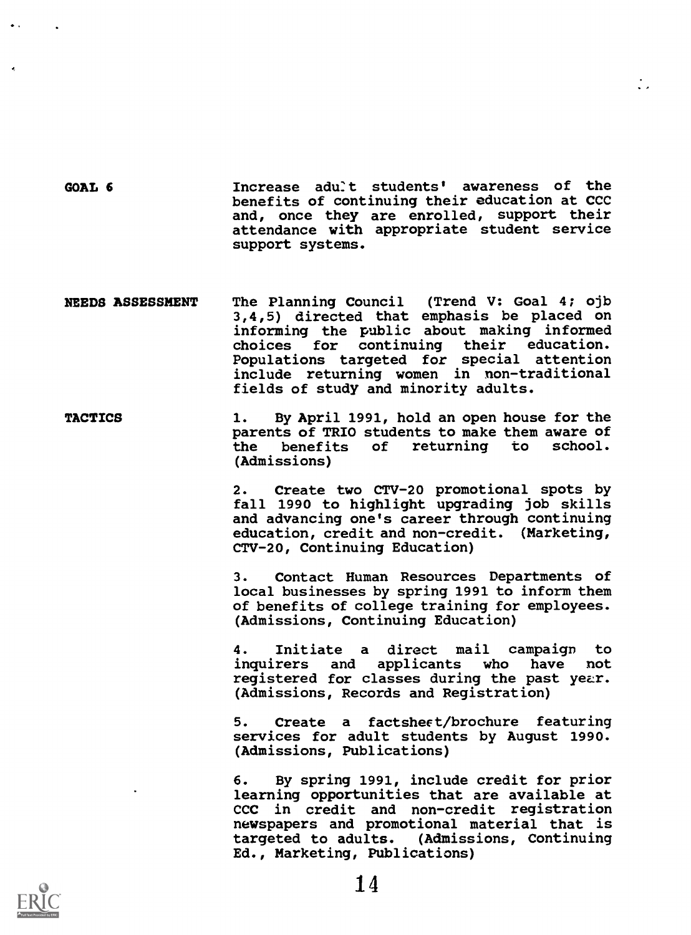GOAL 6 10 Increase adult students' awareness of the benefits of continuing their education at CCC and, once they are enrolled, support their attendance with appropriate student service support systems.

- NEEDS ASSESSMENT The Planning Council (Trend V: Goal 4; ojb 3,4,5) directed that emphasis be placed on informing the public about making informed choices for continuing their education. Populations targeted for special attention include returning women in non-traditional fields of study and minority adults.
- TACTICS 1. By April 1991, hold an open house for the parents of TRIO students to make them aware of<br>the benefits of returning to school. of returning to (Admissions)

2. Create two CTV-20 promotional spots by fall 1990 to highlight upgrading job skills and advancing one's career through continuing education, credit and non-credit. (Marketing, CTV-20, Continuing Education)

 $\overline{\phantom{a}}$ 

3. Contact Human Resources Departments of local businesses by spring 1991 to inform them of benefits of college training for employees. (Admissions, Continuing Education)

4. Initiate a direct mail campaign to inquirers and applicants who have not registered for classes during the past year. (Admissions, Records and Registration)

5. Create a factshect/brochure featuring services for adult students by August 1990. (Admissions, Publications)

6. By spring 1991, include credit for prior learning opportunities that are available at CCC in credit and non-credit registration newspapers and promotional material that is targeted to adults. (Admissions, Continuing Ed., Marketing, Publications)

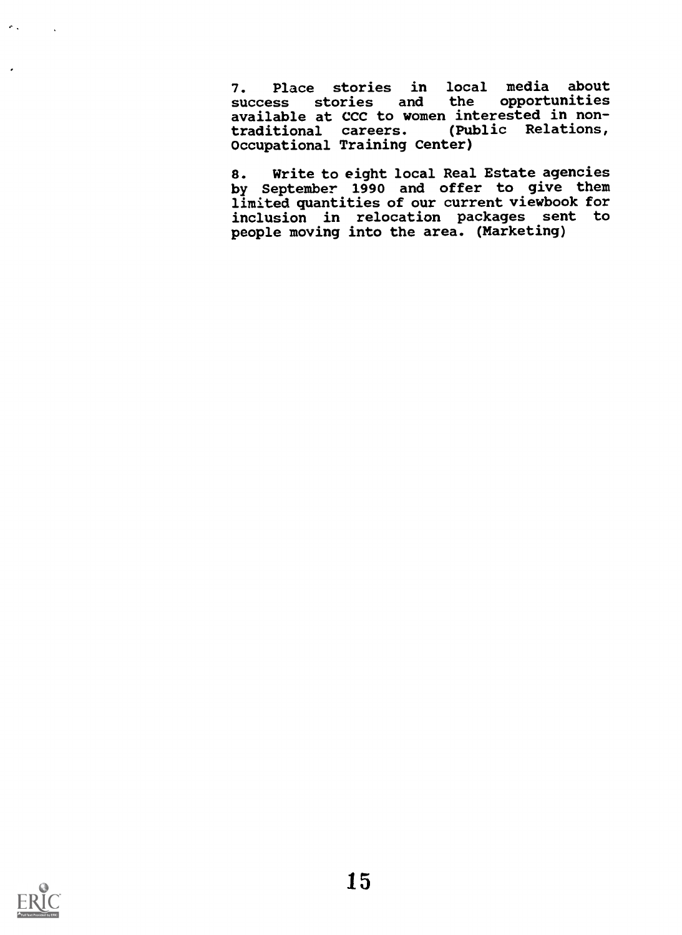7. Place stories in local media about<br>success stories and the opportunities success stories and the opportunities available at CCC to women interested in nontraditional careers. (Public Relations, Occupational Training Center)

8. Write to eight local Real Estate agencies by September 1990 and offer to give them limited quantities of our current viewbook for inclusion in relocation packages sent to people moving into the area. (Marketing)



 $\sigma_{\rm{th}}$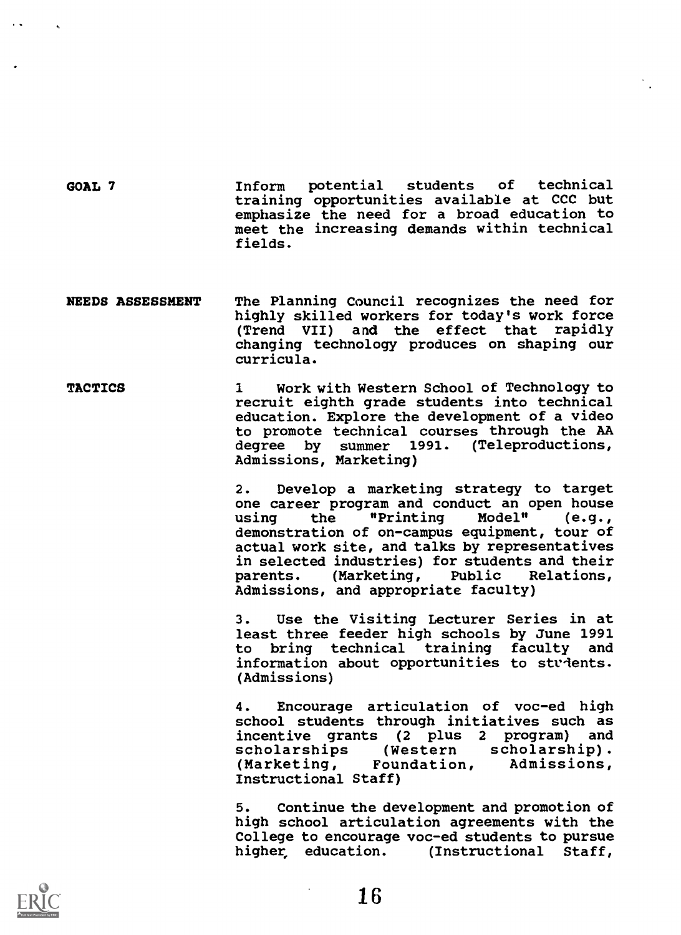GOAL 7 Inform potential students of technical training opportunities available at CCC but emphasize the need for a broad education to meet the increasing demands within technical fields.

- NEEDS ASSESSMENT The Planning Council recognizes the need for highly skilled workers for today's work force (Trend VII) and the effect that rapidly changing technology produces on shaping our curricula.
- TACTICS 1 Work with Western School of Technology to recruit eighth grade students into technical education. Explore the development of a video to promote technical courses through the AA degree by summer 1991. (Teleproductions, Admissions, Marketing)

2. Develop a marketing strategy to target one career program and conduct an open house<br>using the "Printing Model" (e.g., using the "Printing demonstration of on-campus equipment, tour of actual work site, and talks by representatives in selected industries) for students and their<br>parents. (Marketing, Public Relations, parents. (Marketing, Public Admissions, and appropriate faculty)

3. Use the Visiting Lecturer Series in at least three feeder high schools by June 1991 to bring technical training faculty and information about opportunities to stvients. (Admissions)

4. Encourage articulation of voc-ed high school students through initiatives such as incentive grants (2 plus 2 program) and<br>scholarships (Western scholarship). scholarships (Western scholarship).<br>(Marketing, Foundation, Admissions, (Marketing, Foundation, Instructional Staff)

5. Continue the development and promotion of high school articulation agreements with the College to encourage voc-ed students to pursue higher, education. (Instructional Staff,